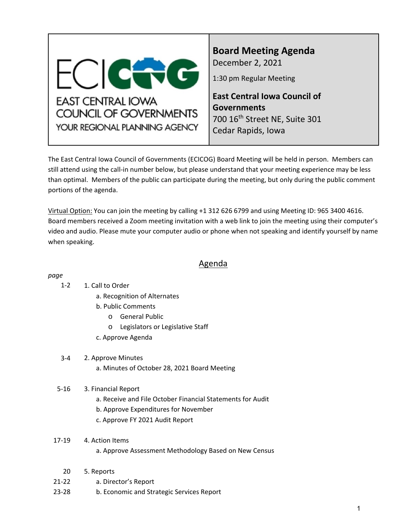<span id="page-0-0"></span>

**Board Meeting Agenda** December 2, 2021

1:30 pm Regular Meeting

**East Central Iowa Council of Governments** 700 16th Street NE, Suite 301 Cedar Rapids, Iowa

The East Central Iowa Council of Governments (ECICOG) Board Meeting will be held in person. Members can still attend using the call-in number below, but please understand that your meeting experience may be less than optimal. Members of the public can participate during the meeting, but only during the public comment portions of the agenda.

Virtual Option: You can join the meeting by calling +1 312 626 6799 and using Meeting ID: 965 3400 4616. Board members received a Zoom meeting invitation with a web link to join the meeting using their computer's video and audio. Please mute your computer audio or phone when not speaking and identify yourself by name when speaking.

# Agenda

#### *page*

#### 1. Call to Order 1-2

- a. Recognition of Alternates
- b. Public Comments
	- o General Public
	- o Legislators or Legislative Staff
- c. Approve Agenda

#### 3-4 2. Approve Minutes

a. Minutes of October 28, 2021 Board Meeting

#### 5-16 3. Financial Report

- a. Receive and File October Financial Statements for Audit
- b. Approve Expenditures for November
- c. Approve FY 2021 Audit Report
- 17-19 4. Action Items

#### a. Approve Assessment Methodology Based on New Census

- 20 5. Reports
- 21-22 a. Director's Report
- 23-28 b. Economic and Strategic Services Report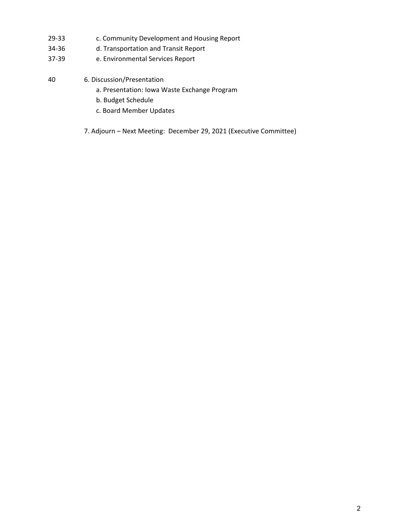- 29-33 c. Community Development and Housing Report
- 34-36 d. Transportation and Transit Report
- 37-39 e. Environmental Services Report

# 40 6. Discussion/Presentation

- a. Presentation: Iowa Waste Exchange Program
- b. Budget Schedule
- c. Board Member Updates
- 7. Adjourn Next Meeting: December 29, 2021 (Executive Committee)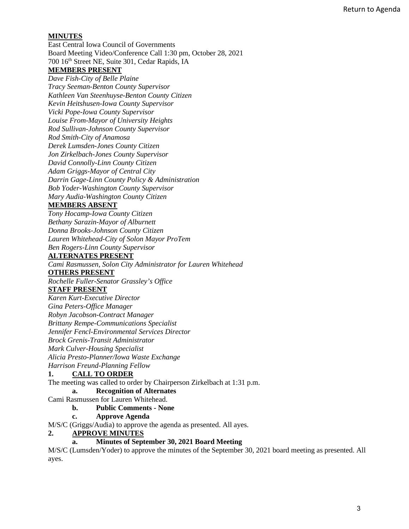#### **MINUTES**

East Central Iowa Council of Governments Board Meeting Video/Conference Call 1:30 pm, October 28, 2021 700 16th Street NE, Suite 301, Cedar Rapids, IA **MEMBERS PRESENT**

*Dave Fish-City of Belle Plaine*

*Tracy Seeman-Benton County Supervisor Kathleen Van Steenhuyse-Benton County Citizen Kevin Heitshusen-Iowa County Supervisor Vicki Pope-Iowa County Supervisor Louise From-Mayor of University Heights Rod Sullivan-Johnson County Supervisor Rod Smith-City of Anamosa Derek Lumsden-Jones County Citizen Jon Zirkelbach-Jones County Supervisor David Connolly-Linn County Citizen Adam Griggs-Mayor of Central City Darrin Gage-Linn County Policy & Administration Bob Yoder-Washington County Supervisor Mary Audia-Washington County Citizen* 

#### **MEMBERS ABSENT**

*Tony Hocamp-Iowa County Citizen Bethany Sarazin-Mayor of Alburnett Donna Brooks-Johnson County Citizen Lauren Whitehead-City of Solon Mayor ProTem Ben Rogers-Linn County Supervisor* 

#### **ALTERNATES PRESENT**

*Cami Rasmussen, Solon City Administrator for Lauren Whitehead* 

#### **OTHERS PRESENT**

*Rochelle Fuller-Senator Grassley's Office*

#### **STAFF PRESENT**

*Karen Kurt-Executive Director Gina Peters-Office Manager Robyn Jacobson-Contract Manager Brittany Rempe-Communications Specialist Jennifer Fencl-Environmental Services Director Brock Grenis-Transit Administrator Mark Culver-Housing Specialist* 

*Alicia Presto-Planner/Iowa Waste Exchange* 

*Harrison Freund-Planning Fellow*

#### **1. CALL TO ORDER**

The meeting was called to order by Chairperson Zirkelbach at 1:31 p.m.

#### **a. Recognition of Alternates**

Cami Rasmussen for Lauren Whitehead.

#### **b. Public Comments - None**

#### **c. Approve Agenda**

M/S/C (Griggs/Audia) to approve the agenda as presented. All ayes.

#### **2. APPROVE MINUTES**

#### **a. Minutes of September 30, 2021 Board Meeting**

M/S/C (Lumsden/Yoder) to approve the minutes of the September 30, 2021 board meeting as presented. All ayes.